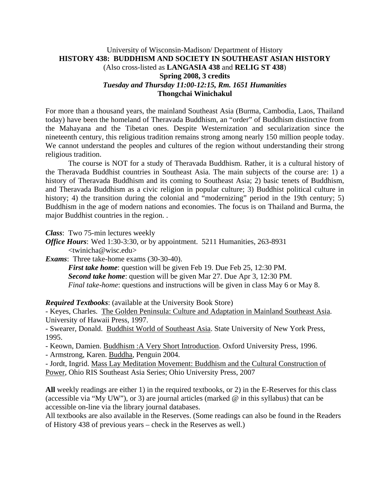## University of Wisconsin-Madison/ Department of History **HISTORY 438: BUDDHISM AND SOCIETY IN SOUTHEAST ASIAN HISTORY** (Also cross-listed as **LANGASIA 438** and **RELIG ST 438**) **Spring 2008, 3 credits**  *Tuesday and Thursday 11:00-12:15, Rm. 1651 Humanities* **Thongchai Winichakul**

For more than a thousand years, the mainland Southeast Asia (Burma, Cambodia, Laos, Thailand today) have been the homeland of Theravada Buddhism, an "order" of Buddhism distinctive from the Mahayana and the Tibetan ones. Despite Westernization and secularization since the nineteenth century, this religious tradition remains strong among nearly 150 million people today. We cannot understand the peoples and cultures of the region without understanding their strong religious tradition.

 The course is NOT for a study of Theravada Buddhism. Rather, it is a cultural history of the Theravada Buddhist countries in Southeast Asia. The main subjects of the course are: 1) a history of Theravada Buddhism and its coming to Southeast Asia; 2) basic tenets of Buddhism, and Theravada Buddhism as a civic religion in popular culture; 3) Buddhist political culture in history; 4) the transition during the colonial and "modernizing" period in the 19th century; 5) Buddhism in the age of modern nations and economies. The focus is on Thailand and Burma, the major Buddhist countries in the region. .

*Class*: Two 75-min lectures weekly

*Office Hours*: Wed 1:30-3:30, or by appointment. 5211 Humanities, 263-8931

<twinicha@wisc.edu>

*Exams*: Three take-home exams (30-30-40).

*First take home*: question will be given Feb 19. Due Feb 25, 12:30 PM.  *Second take home*: question will be given Mar 27. Due Apr 3, 12:30 PM. *Final take-home*: questions and instructions will be given in class May 6 or May 8.

*Required Textbooks*: (available at the University Book Store)

- Keyes, Charles. The Golden Peninsula: Culture and Adaptation in Mainland Southeast Asia. University of Hawaii Press, 1997.

- Swearer, Donald. Buddhist World of Southeast Asia. State University of New York Press, 1995.

- Keown, Damien. Buddhism :A Very Short Introduction. Oxford University Press, 1996.

- Armstrong, Karen. Buddha, Penguin 2004.

- Jordt, Ingrid. Mass Lay Meditation Movement: Buddhism and the Cultural Construction of Power, Ohio RIS Southeast Asia Series; Ohio University Press, 2007

**All** weekly readings are either 1) in the required textbooks, or 2) in the E-Reserves for this class (accessible via "My UW"), or 3) are journal articles (marked  $@$  in this syllabus) that can be accessible on-line via the library journal databases.

All textbooks are also available in the Reserves. (Some readings can also be found in the Readers of History 438 of previous years – check in the Reserves as well.)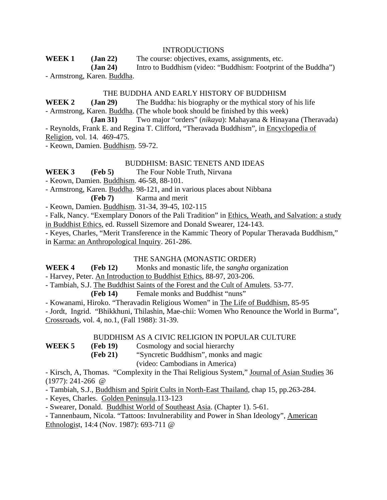#### INTRODUCTIONS

**WEEK 1 (Jan 22)** The course: objectives, exams, assignments, etc.

 **(Jan 24)** Intro to Buddhism (video: "Buddhism: Footprint of the Buddha") - Armstrong, Karen. Buddha.

#### THE BUDDHA AND EARLY HISTORY OF BUDDHISM

**WEEK 2 (Jan 29)** The Buddha: his biography or the mythical story of his life

- Armstrong, Karen. Buddha. (The whole book should be finished by this week)

 **(Jan 31)** Two major "orders" (*nikaya*): Mahayana & Hinayana (Theravada) - Reynolds, Frank E. and Regina T. Clifford, "Theravada Buddhism", in Encyclopedia of

Religion, vol. 14. 469-475.

- Keown, Damien. Buddhism. 59-72.

## BUDDHISM: BASIC TENETS AND IDEAS

**WEEK 3 (Feb 5)** The Four Noble Truth, Nirvana

- Keown, Damien. Buddhism. 46-58, 88-101.

- Armstrong, Karen. Buddha. 98-121, and in various places about Nibbana

**(Feb 7)** Karma and merit

- Keown, Damien. Buddhism. 31-34, 39-45, 102-115

- Falk, Nancy. "Exemplary Donors of the Pali Tradition" in Ethics, Weath, and Salvation: a study in Buddhist Ethics, ed. Russell Sizemore and Donald Swearer, 124-143.

- Keyes, Charles, "Merit Transference in the Kammic Theory of Popular Theravada Buddhism," in Karma: an Anthropological Inquiry. 261-286.

#### THE SANGHA (MONASTIC ORDER)

**WEEK 4 (Feb 12)** Monks and monastic life, the *sangha* organization

- Harvey, Peter. An Introduction to Buddhist Ethics, 88-97, 203-206.

- Tambiah, S.J. The Buddhist Saints of the Forest and the Cult of Amulets. 53-77.

**(Feb 14)** Female monks and Buddhist "nuns"

- Kowanami, Hiroko. "Theravadin Religious Women" in The Life of Buddhism, 85-95

- Jordt, Ingrid. "Bhikkhuni, Thilashin, Mae-chii: Women Who Renounce the World in Burma", Crossroads, vol. 4, no.1, (Fall 1988): 31-39.

#### BUDDHISM AS A CIVIC RELIGION IN POPULAR CULTURE

**WEEK 5 (Feb 19)** Cosmology and social hierarchy

**(Feb 21)** "Syncretic Buddhism", monks and magic

(video: Cambodians in America)

- Kirsch, A, Thomas. "Complexity in the Thai Religious System," Journal of Asian Studies 36 (1977): 241-266 @

- Tambiah, S.J., Buddhism and Spirit Cults in North-East Thailand, chap 15, pp.263-284.

- Keyes, Charles. Golden Peninsula.113-123

- Swearer, Donald. Buddhist World of Southeast Asia. (Chapter 1). 5-61.

- Tannenbaum, Nicola. "Tattoos: Invulnerability and Power in Shan Ideology", American Ethnologist, 14:4 (Nov. 1987): 693-711 @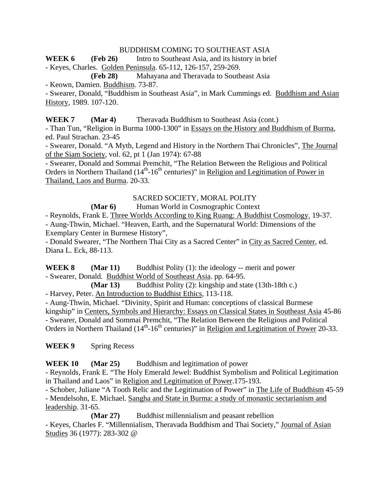## BUDDHISM COMING TO SOUTHEAST ASIA

WEEK 6 (Feb 26) Intro to Southeast Asia, and its history in brief

- Keyes, Charles. Golden Peninsula. 65-112, 126-157, 259-269.

**(Feb 28)** Mahayana and Theravada to Southeast Asia

- Keown, Damien. Buddhism. 73-87.

- Swearer, Donald, "Buddhism in Southeast Asia", in Mark Cummings ed. Buddhism and Asian History, 1989. 107-120.

**WEEK 7 (Mar 4)** Theravada Buddhism to Southeast Asia (cont.)

- Than Tun, "Religion in Burma 1000-1300" in Essays on the History and Buddhism of Burma, ed. Paul Strachan. 23-45

- Swearer, Donald. "A Myth, Legend and History in the Northern Thai Chronicles", The Journal of the Siam Society, vol. 62, pt 1 (Jan 1974): 67-88

- Swearer, Donald and Sommai Premchit, "The Relation Between the Religious and Political Orders in Northern Thailand  $(14<sup>th</sup>-16<sup>th</sup>$  centuries)" in Religion and Legitimation of Power in Thailand, Laos and Burma. 20-33.

## SACRED SOCIETY, MORAL POLITY

## **(Mar 6)** Human World in Cosmographic Context

- Reynolds, Frank E. Three Worlds According to King Ruang: A Buddhist Cosmology. 19-37. - Aung-Thwin, Michael. "Heaven, Earth, and the Supernatural World: Dimensions of the Exemplary Center in Burmese History",

- Donald Swearer, "The Northern Thai City as a Sacred Center" in City as Sacred Center, ed. Diana L. Eck, 88-113.

**WEEK 8 (Mar 11)** Buddhist Polity (1): the ideology -- merit and power - Swearer, Donald. Buddhist World of Southeast Asia. pp. 64-95.

 **(Mar 13)** Buddhist Polity (2): kingship and state (13th-18th c.) - Harvey, Peter. An Introduction to Buddhist Ethics, 113-118.

- Aung-Thwin, Michael. "Divinity, Spirit and Human: conceptions of classical Burmese kingship" in Centers, Symbols and Hierarchy: Essays on Classical States in Southeast Asia 45-86 - Swearer, Donald and Sommai Premchit, "The Relation Between the Religious and Political Orders in Northern Thailand  $(14<sup>th</sup>-16<sup>th</sup>$  centuries)" in Religion and Legitimation of Power 20-33.

WEEK 9 Spring Recess

**WEEK 10 (Mar 25)** Buddhism and legitimation of power

- Reynolds, Frank E. "The Holy Emerald Jewel: Buddhist Symbolism and Political Legitimation in Thailand and Laos" in Religion and Legitimation of Power.175-193.

- Schober, Juliane "A Tooth Relic and the Legitimation of Power" in The Life of Buddhism 45-59 - Mendelsohn, E. Michael. Sangha and State in Burma: a study of monastic sectarianism and leadership. 31-65.

**(Mar 27)** Buddhist millennialism and peasant rebellion

- Keyes, Charles F. "Millennialism, Theravada Buddhism and Thai Society," Journal of Asian Studies 36 (1977): 283-302 @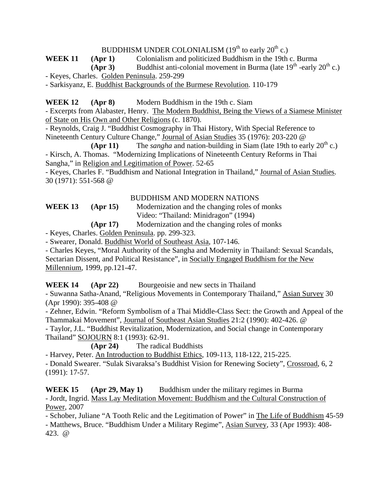# BUDDHISM UNDER COLONIALISM  $(19<sup>th</sup>$  to early  $20<sup>th</sup>$  c.)

**WEEK 11 (Apr 1)** Colonialism and politicized Buddhism in the 19th c. Burma

**(Apr 3)** Buddhist anti-colonial movement in Burma (late  $19<sup>th</sup>$  -early  $20<sup>th</sup>$  c.)

- Keyes, Charles. Golden Peninsula. 259-299

- Sarkisyanz, E. Buddhist Backgrounds of the Burmese Revolution. 110-179

**WEEK 12** (Apr 8) Modern Buddhism in the 19th c. Siam

- Excerpts from Alabaster, Henry. The Modern Buddhist, Being the Views of a Siamese Minister of State on His Own and Other Religions (c. 1870).

- Reynolds, Craig J. "Buddhist Cosmography in Thai History, With Special Reference to Nineteenth Century Culture Change," Journal of Asian Studies 35 (1976): 203-220 @

**(Apr 11)** The *sangha* and nation-building in Siam (late 19th to early  $20^{th}$  c.) - Kirsch, A. Thomas. "Modernizing Implications of Nineteenth Century Reforms in Thai Sangha," in Religion and Legitimation of Power. 52-65

- Keyes, Charles F. "Buddhism and National Integration in Thailand," Journal of Asian Studies. 30 (1971): 551-568 @

#### BUDDHISM AND MODERN NATIONS

**WEEK 13 (Apr 15)** Modernization and the changing roles of monks Video: "Thailand: Minidragon" (1994)

 **(Apr 17)** Modernization and the changing roles of monks

- Keyes, Charles. Golden Peninsula. pp. 299-323.

- Swearer, Donald. Buddhist World of Southeast Asia, 107-146.

- Charles Keyes, "Moral Authority of the Sangha and Modernity in Thailand: Sexual Scandals, Sectarian Dissent, and Political Resistance", in Socially Engaged Buddhism for the New Millennium, 1999, pp.121-47.

**WEEK 14 (Apr 22)** Bourgeoisie and new sects in Thailand

- Suwanna Satha-Anand, "Religious Movements in Contemporary Thailand," Asian Survey 30 (Apr 1990): 395-408 @

- Zehner, Edwin. "Reform Symbolism of a Thai Middle-Class Sect: the Growth and Appeal of the Thammakai Movement", Journal of Southeast Asian Studies 21:2 (1990): 402-426. @

- Taylor, J.L. "Buddhist Revitalization, Modernization, and Social change in Contemporary Thailand" SOJOURN 8:1 (1993): 62-91.

**(Apr 24)** The radical Buddhists

- Harvey, Peter. An Introduction to Buddhist Ethics, 109-113, 118-122, 215-225.

- Donald Swearer. "Sulak Sivaraksa's Buddhist Vision for Renewing Society", Crossroad, 6, 2 (1991): 17-57.

**WEEK 15** (Apr 29, May 1) Buddhism under the military regimes in Burma - Jordt, Ingrid. Mass Lay Meditation Movement: Buddhism and the Cultural Construction of Power, 2007

- Schober, Juliane "A Tooth Relic and the Legitimation of Power" in The Life of Buddhism 45-59 - Matthews, Bruce. "Buddhism Under a Military Regime", Asian Survey, 33 (Apr 1993): 408- 423. @